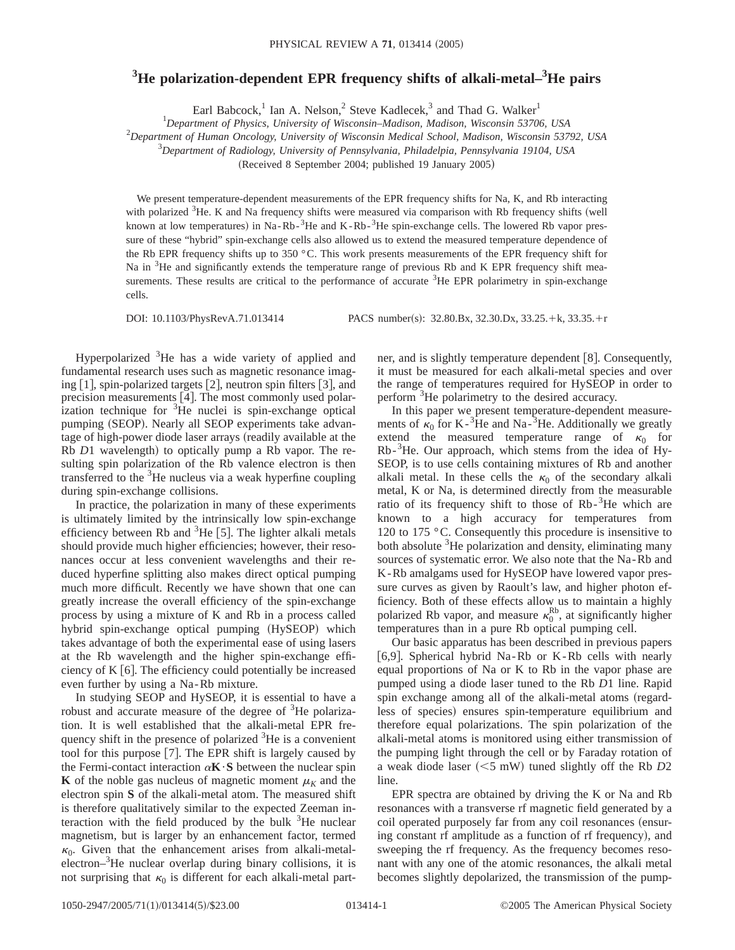## **3 He polarization-dependent EPR frequency shifts of alkali-metal–3 He pairs**

Earl Babcock,<sup>1</sup> Ian A. Nelson,<sup>2</sup> Steve Kadlecek,<sup>3</sup> and Thad G. Walker<sup>1</sup>

1 *Department of Physics, University of Wisconsin–Madison, Madison, Wisconsin 53706, USA*

2 *Department of Human Oncology, University of Wisconsin Medical School, Madison, Wisconsin 53792, USA*

3 *Department of Radiology, University of Pennsylvania, Philadelpia, Pennsylvania 19104, USA*

(Received 8 September 2004; published 19 January 2005)

We present temperature-dependent measurements of the EPR frequency shifts for Na, K, and Rb interacting with polarized  $3$ He. K and Na frequency shifts were measured via comparison with Rb frequency shifts (well known at low temperatures) in Na-Rb-<sup>3</sup>He and K-Rb-<sup>3</sup>He spin-exchange cells. The lowered Rb vapor pressure of these "hybrid" spin-exchange cells also allowed us to extend the measured temperature dependence of the Rb EPR frequency shifts up to 350 °C. This work presents measurements of the EPR frequency shift for Na in <sup>3</sup>He and significantly extends the temperature range of previous Rb and K EPR frequency shift measurements. These results are critical to the performance of accurate <sup>3</sup>He EPR polarimetry in spin-exchange cells.

DOI: 10.1103/PhysRevA.71.013414 PACS number(s): 32.80.Bx, 32.30.Dx, 33.25.+k, 33.35.+r

Hyperpolarized <sup>3</sup>He has a wide variety of applied and fundamental research uses such as magnetic resonance imaging  $\lceil 1 \rceil$ , spin-polarized targets  $\lceil 2 \rceil$ , neutron spin filters  $\lceil 3 \rceil$ , and precision measurements  $\lceil 4 \rceil$ . The most commonly used polarization technique for <sup>3</sup>He nuclei is spin-exchange optical pumping (SEOP). Nearly all SEOP experiments take advantage of high-power diode laser arrays (readily available at the Rb *D*1 wavelength) to optically pump a Rb vapor. The resulting spin polarization of the Rb valence electron is then transferred to the <sup>3</sup>He nucleus via a weak hyperfine coupling during spin-exchange collisions.

In practice, the polarization in many of these experiments is ultimately limited by the intrinsically low spin-exchange efficiency between Rb and <sup>3</sup>He [5]. The lighter alkali metals should provide much higher efficiencies; however, their resonances occur at less convenient wavelengths and their reduced hyperfine splitting also makes direct optical pumping much more difficult. Recently we have shown that one can greatly increase the overall efficiency of the spin-exchange process by using a mixture of K and Rb in a process called hybrid spin-exchange optical pumping (HySEOP) which takes advantage of both the experimental ease of using lasers at the Rb wavelength and the higher spin-exchange efficiency of K  $\lceil 6 \rceil$ . The efficiency could potentially be increased even further by using a Na-Rb mixture.

In studying SEOP and HySEOP, it is essential to have a robust and accurate measure of the degree of <sup>3</sup>He polarization. It is well established that the alkali-metal EPR frequency shift in the presence of polarized <sup>3</sup>He is a convenient tool for this purpose  $[7]$ . The EPR shift is largely caused by the Fermi-contact interaction  $\alpha$ **K** $\cdot$ **S** between the nuclear spin **K** of the noble gas nucleus of magnetic moment  $\mu_K$  and the electron spin **S** of the alkali-metal atom. The measured shift is therefore qualitatively similar to the expected Zeeman interaction with the field produced by the bulk  $3$ He nuclear magnetism, but is larger by an enhancement factor, termed  $\kappa_0$ . Given that the enhancement arises from alkali-metalelectron–<sup>3</sup>He nuclear overlap during binary collisions, it is not surprising that  $\kappa_0$  is different for each alkali-metal partner, and is slightly temperature dependent  $[8]$ . Consequently, it must be measured for each alkali-metal species and over the range of temperatures required for HySEOP in order to perform <sup>3</sup>He polarimetry to the desired accuracy.

In this paper we present temperature-dependent measurements of  $k_0$  for K-<sup>3</sup>He and Na-<sup>3</sup>He. Additionally we greatly extend the measured temperature range of  $\kappa_0$  for Rb-<sup>3</sup>He. Our approach, which stems from the idea of Hy-SEOP, is to use cells containing mixtures of Rb and another alkali metal. In these cells the  $\kappa_0$  of the secondary alkali metal, K or Na, is determined directly from the measurable ratio of its frequency shift to those of Rb-<sup>3</sup>He which are known to a high accuracy for temperatures from 120 to 175 °C. Consequently this procedure is insensitive to both absolute <sup>3</sup>He polarization and density, eliminating many sources of systematic error. We also note that the Na-Rb and K-Rb amalgams used for HySEOP have lowered vapor pressure curves as given by Raoult's law, and higher photon efficiency. Both of these effects allow us to maintain a highly polarized Rb vapor, and measure  $\kappa_0^{\text{Rb}}$ , at significantly higher temperatures than in a pure Rb optical pumping cell.

Our basic apparatus has been described in previous papers [6,9]. Spherical hybrid Na-Rb or K-Rb cells with nearly equal proportions of Na or K to Rb in the vapor phase are pumped using a diode laser tuned to the Rb *D*1 line. Rapid spin exchange among all of the alkali-metal atoms (regardless of species) ensures spin-temperature equilibrium and therefore equal polarizations. The spin polarization of the alkali-metal atoms is monitored using either transmission of the pumping light through the cell or by Faraday rotation of a weak diode laser  $(<5$  mW) tuned slightly off the Rb  $D2$ line.

EPR spectra are obtained by driving the K or Na and Rb resonances with a transverse rf magnetic field generated by a coil operated purposely far from any coil resonances (ensuring constant rf amplitude as a function of rf frequency), and sweeping the rf frequency. As the frequency becomes resonant with any one of the atomic resonances, the alkali metal becomes slightly depolarized, the transmission of the pump-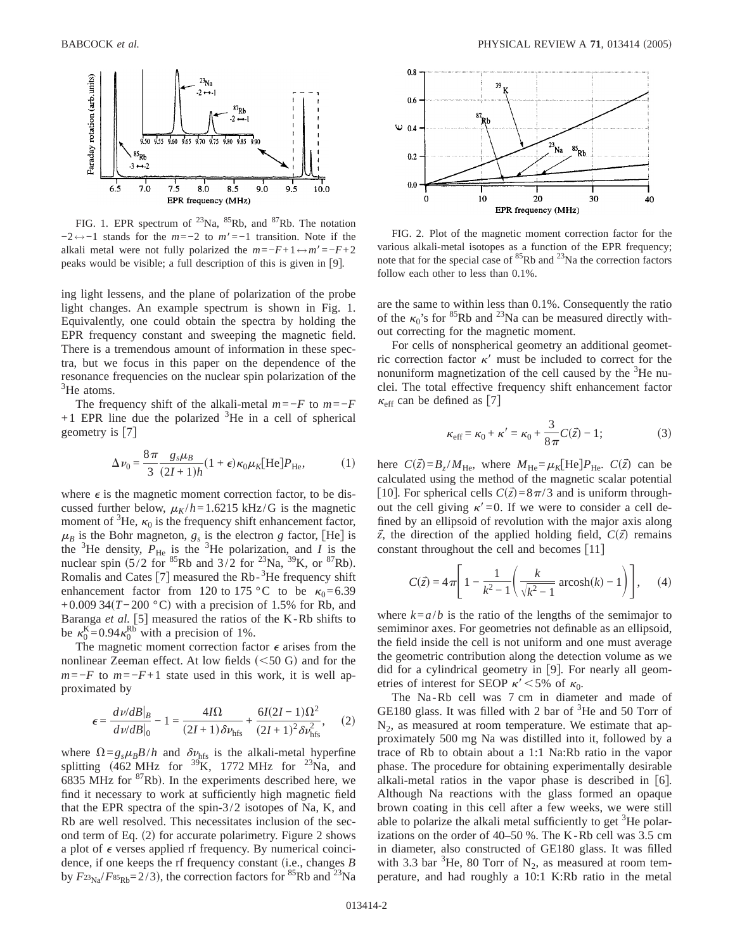

FIG. 1. EPR spectrum of  $^{23}$ Na,  $^{85}$ Rb, and  $^{87}$ Rb. The notation  $-2 \leftrightarrow -1$  stands for the  $m=-2$  to  $m'=-1$  transition. Note if the alkali metal were not fully polarized the  $m=-F+1 \leftrightarrow m'=-F+2$ peaks would be visible; a full description of this is given in [9].

ing light lessens, and the plane of polarization of the probe light changes. An example spectrum is shown in Fig. 1. Equivalently, one could obtain the spectra by holding the EPR frequency constant and sweeping the magnetic field. There is a tremendous amount of information in these spectra, but we focus in this paper on the dependence of the resonance frequencies on the nuclear spin polarization of the <sup>3</sup>He atoms.

The frequency shift of the alkali-metal  $m=-F$  to  $m=-F$  $+1$  EPR line due the polarized  ${}^{3}$ He in a cell of spherical geometry is  $[7]$ 

$$
\Delta \nu_0 = \frac{8\pi}{3} \frac{g_s \mu_B}{(2I+1)h} (1+\epsilon) \kappa_0 \mu_K [\text{He}] P_{\text{He}},\tag{1}
$$

where  $\epsilon$  is the magnetic moment correction factor, to be discussed further below,  $\mu_K/h = 1.6215$  kHz/G is the magnetic moment of  ${}^{3}$ He,  $\kappa_0$  is the frequency shift enhancement factor,  $\mu_B$  is the Bohr magneton,  $g_s$  is the electron *g* factor, [He] is the <sup>3</sup>He density,  $P_{\text{He}}$  is the <sup>3</sup>He polarization, and *I* is the nuclear spin  $(5/2 \text{ for } ^{85} \text{Rb} \text{ and } 3/2 \text{ for } ^{23} \text{Na}, ^{39} \text{K}, \text{ or } ^{87} \text{Rb}).$ Romalis and Cates  $[7]$  measured the Rb- $3$ He frequency shift enhancement factor from 120 to 175 °C to be  $\kappa_0 = 6.39$ +0.009 34(T-200 °C) with a precision of 1.5% for Rb, and Baranga et al. [5] measured the ratios of the K-Rb shifts to be  $\kappa_0^{\text{K}} = 0.94 \kappa_0^{\text{Rb}}$  with a precision of 1%.

The magnetic moment correction factor  $\epsilon$  arises from the nonlinear Zeeman effect. At low fields  $(<50 G$  and for the  $m=-F$  to  $m=-F+1$  state used in this work, it is well approximated by

$$
\epsilon = \frac{dv/dB|_B}{dv/dB|_0} - 1 = \frac{4I\Omega}{(2I+1)\delta\nu_{\text{hfs}}} + \frac{6I(2I-1)\Omega^2}{(2I+1)^2\delta\nu_{\text{hfs}}^2},\tag{2}
$$

where  $\Omega = g_s \mu_B B/h$  and  $\delta \nu_{\text{hfs}}$  is the alkali-metal hyperfine splitting  $(462 \text{ MHz}$  for <sup>39</sup>K, 1772 MHz for <sup>23</sup>Na, and 6835 MHz for  ${}^{87}$ Rb). In the experiments described here, we find it necessary to work at sufficiently high magnetic field that the EPR spectra of the spin-3/2 isotopes of Na, K, and Rb are well resolved. This necessitates inclusion of the second term of Eq.  $(2)$  for accurate polarimetry. Figure 2 shows a plot of  $\epsilon$  verses applied rf frequency. By numerical coincidence, if one keeps the rf frequency constant (i.e., changes *B* by  $F_{\frac{23}{N}a}/F_{\frac{85}{N}b}$ =2/3), the correction factors for  $\frac{85}{N}Rb$  and  $\frac{23}{N}a$ 



FIG. 2. Plot of the magnetic moment correction factor for the various alkali-metal isotopes as a function of the EPR frequency; note that for the special case of  ${}^{85}$ Rb and  ${}^{23}$ Na the correction factors follow each other to less than 0.1%.

are the same to within less than 0.1%. Consequently the ratio of the  $\kappa_0$ 's for <sup>85</sup>Rb and <sup>23</sup>Na can be measured directly without correcting for the magnetic moment.

For cells of nonspherical geometry an additional geometric correction factor  $\kappa'$  must be included to correct for the nonuniform magnetization of the cell caused by the <sup>3</sup>He nuclei. The total effective frequency shift enhancement factor  $\kappa_{\text{eff}}$  can be defined as [7]

$$
\kappa_{\text{eff}} = \kappa_0 + \kappa' = \kappa_0 + \frac{3}{8\pi}C(\vec{z}) - 1; \tag{3}
$$

here  $C(\vec{z}) = B_z/M_{\text{He}}$ , where  $M_{\text{He}} = \mu_K[\text{He}]}P_{\text{He}}$ .  $C(\vec{z})$  can be calculated using the method of the magnetic scalar potential [10]. For spherical cells  $C(\vec{z})=8\pi/3$  and is uniform throughout the cell giving  $\kappa' = 0$ . If we were to consider a cell defined by an ellipsoid of revolution with the major axis along  $\vec{z}$ , the direction of the applied holding field,  $C(\vec{z})$  remains constant throughout the cell and becomes  $[11]$ 

$$
C(\vec{z}) = 4\pi \left[ 1 - \frac{1}{k^2 - 1} \left( \frac{k}{\sqrt{k^2 - 1}} \operatorname{arcosh}(k) - 1 \right) \right], \quad (4)
$$

where  $k = a/b$  is the ratio of the lengths of the semimajor to semiminor axes. For geometries not definable as an ellipsoid, the field inside the cell is not uniform and one must average the geometric contribution along the detection volume as we did for a cylindrical geometry in  $[9]$ . For nearly all geometries of interest for SEOP  $\kappa'$  < 5% of  $\kappa_0$ .

The Na-Rb cell was 7 cm in diameter and made of GE180 glass. It was filled with 2 bar of  ${}^{3}$ He and 50 Torr of  $N_2$ , as measured at room temperature. We estimate that approximately 500 mg Na was distilled into it, followed by a trace of Rb to obtain about a 1:1 Na:Rb ratio in the vapor phase. The procedure for obtaining experimentally desirable alkali-metal ratios in the vapor phase is described in  $[6]$ . Although Na reactions with the glass formed an opaque brown coating in this cell after a few weeks, we were still able to polarize the alkali metal sufficiently to get <sup>3</sup>He polarizations on the order of 40–50 %. The K-Rb cell was 3.5 cm in diameter, also constructed of GE180 glass. It was filled with 3.3 bar  ${}^{3}$ He, 80 Torr of N<sub>2</sub>, as measured at room temperature, and had roughly a 10:1 K:Rb ratio in the metal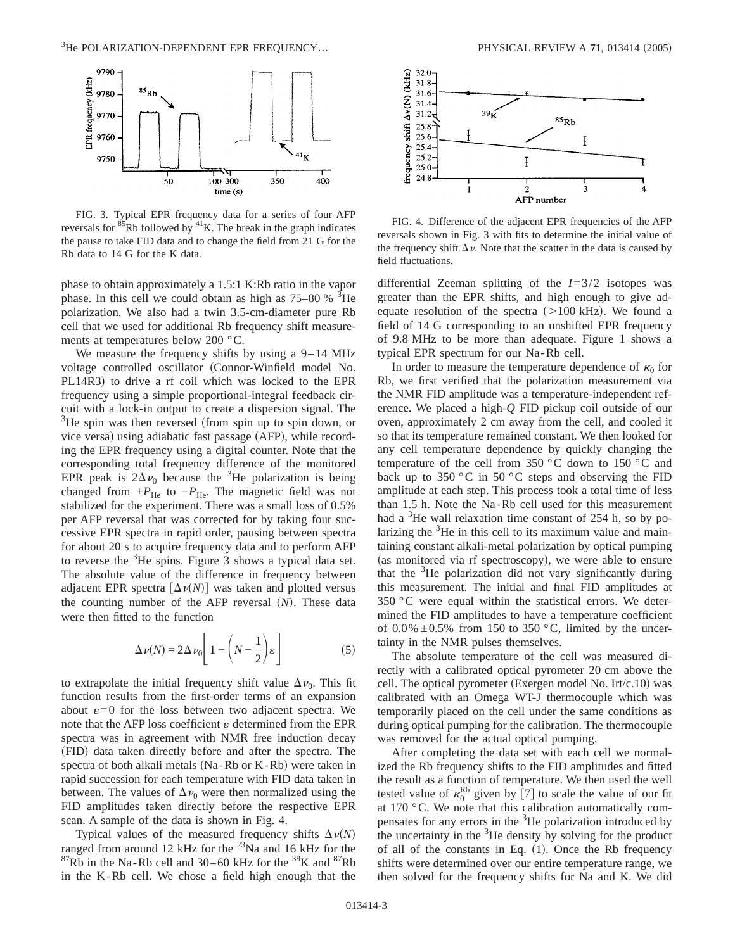

FIG. 3. Typical EPR frequency data for a series of four AFP reversals for  $85Rb$  followed by  $41K$ . The break in the graph indicates the pause to take FID data and to change the field from 21 G for the Rb data to 14 G for the K data.

phase to obtain approximately a 1.5:1 K:Rb ratio in the vapor phase. In this cell we could obtain as high as  $75-80\%$ <sup>3</sup>He polarization. We also had a twin 3.5-cm-diameter pure Rb cell that we used for additional Rb frequency shift measurements at temperatures below 200 °C.

We measure the frequency shifts by using a 9–14 MHz voltage controlled oscillator (Connor-Winfield model No. PL14R3) to drive a rf coil which was locked to the EPR frequency using a simple proportional-integral feedback circuit with a lock-in output to create a dispersion signal. The  $3$ He spin was then reversed (from spin up to spin down, or vice versa) using adiabatic fast passage (AFP), while recording the EPR frequency using a digital counter. Note that the corresponding total frequency difference of the monitored EPR peak is  $2\Delta\nu_0$  because the <sup>3</sup>He polarization is being changed from  $+P_{\text{He}}$  to  $-P_{\text{He}}$ . The magnetic field was not stabilized for the experiment. There was a small loss of 0.5% per AFP reversal that was corrected for by taking four successive EPR spectra in rapid order, pausing between spectra for about 20 s to acquire frequency data and to perform AFP to reverse the  ${}^{3}$ He spins. Figure 3 shows a typical data set. The absolute value of the difference in frequency between adjacent EPR spectra  $\left[\Delta \nu(N)\right]$  was taken and plotted versus the counting number of the AFP reversal  $(N)$ . These data were then fitted to the function

$$
\Delta \nu(N) = 2\Delta \nu_0 \left[ 1 - \left( N - \frac{1}{2} \right) \varepsilon \right]
$$
 (5)

to extrapolate the initial frequency shift value  $\Delta v_0$ . This fit function results from the first-order terms of an expansion about  $\varepsilon = 0$  for the loss between two adjacent spectra. We note that the AFP loss coefficient  $\varepsilon$  determined from the EPR spectra was in agreement with NMR free induction decay (FID) data taken directly before and after the spectra. The spectra of both alkali metals  $(Na-Rb)$  or  $K-Rb)$  were taken in rapid succession for each temperature with FID data taken in between. The values of  $\Delta v_0$  were then normalized using the FID amplitudes taken directly before the respective EPR scan. A sample of the data is shown in Fig. 4.

Typical values of the measured frequency shifts  $\Delta \nu(N)$ ranged from around 12 kHz for the  $^{23}$ Na and 16 kHz for the  ${}^{87}$ Rb in the Na-Rb cell and 30–60 kHz for the  ${}^{39}$ K and  ${}^{87}$ Rb in the K-Rb cell. We chose a field high enough that the



FIG. 4. Difference of the adjacent EPR frequencies of the AFP reversals shown in Fig. 3 with fits to determine the initial value of the frequency shift  $\Delta \nu$ . Note that the scatter in the data is caused by field fluctuations.

differential Zeeman splitting of the *I*=3/2 isotopes was greater than the EPR shifts, and high enough to give adequate resolution of the spectra  $(>100 \text{ kHz})$ . We found a field of 14 G corresponding to an unshifted EPR frequency of 9.8 MHz to be more than adequate. Figure 1 shows a typical EPR spectrum for our Na-Rb cell.

In order to measure the temperature dependence of  $\kappa_0$  for Rb, we first verified that the polarization measurement via the NMR FID amplitude was a temperature-independent reference. We placed a high-*Q* FID pickup coil outside of our oven, approximately 2 cm away from the cell, and cooled it so that its temperature remained constant. We then looked for any cell temperature dependence by quickly changing the temperature of the cell from 350 °C down to 150 °C and back up to 350  $\degree$ C in 50  $\degree$ C steps and observing the FID amplitude at each step. This process took a total time of less than 1.5 h. Note the Na-Rb cell used for this measurement had a  ${}^{3}$ He wall relaxation time constant of 254 h, so by polarizing the <sup>3</sup>He in this cell to its maximum value and maintaining constant alkali-metal polarization by optical pumping (as monitored via rf spectroscopy), we were able to ensure that the <sup>3</sup>He polarization did not vary significantly during this measurement. The initial and final FID amplitudes at 350 °C were equal within the statistical errors. We determined the FID amplitudes to have a temperature coefficient of  $0.0\% \pm 0.5\%$  from 150 to 350 °C, limited by the uncertainty in the NMR pulses themselves.

The absolute temperature of the cell was measured directly with a calibrated optical pyrometer 20 cm above the cell. The optical pyrometer (Exergen model No. Irt/c.10) was calibrated with an Omega WT-J thermocouple which was temporarily placed on the cell under the same conditions as during optical pumping for the calibration. The thermocouple was removed for the actual optical pumping.

After completing the data set with each cell we normalized the Rb frequency shifts to the FID amplitudes and fitted the result as a function of temperature. We then used the well tested value of  $\kappa_0^{\text{Rb}}$  given by [7] to scale the value of our fit at 170 °C. We note that this calibration automatically compensates for any errors in the <sup>3</sup>He polarization introduced by the uncertainty in the  ${}^{3}$ He density by solving for the product of all of the constants in Eq.  $(1)$ . Once the Rb frequency shifts were determined over our entire temperature range, we then solved for the frequency shifts for Na and K. We did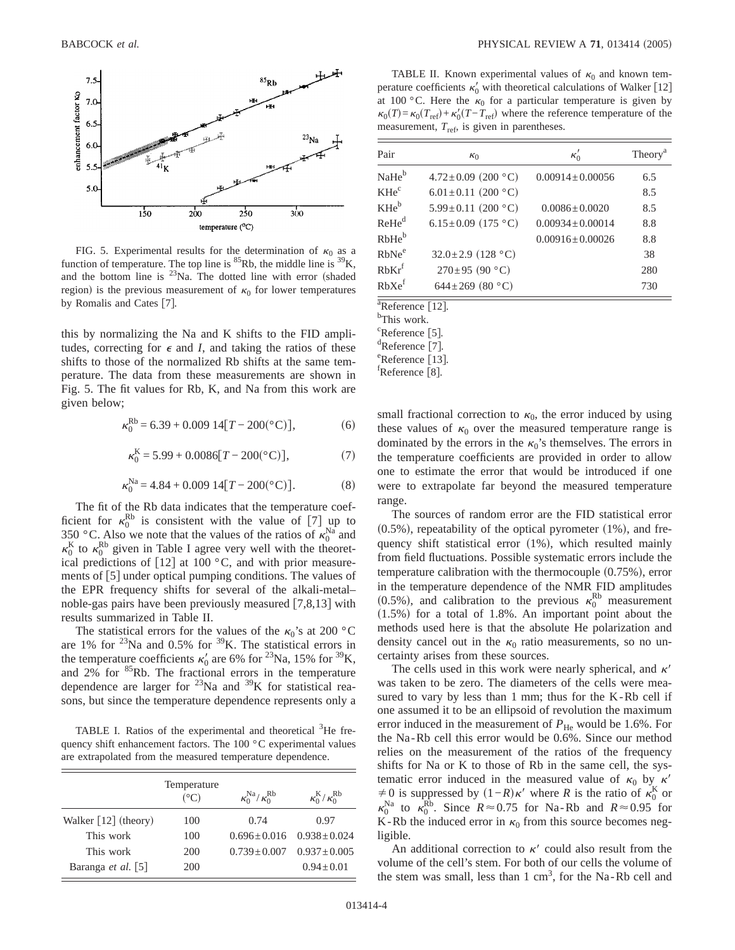

FIG. 5. Experimental results for the determination of  $\kappa_0$  as a function of temperature. The top line is  ${}^{85}$ Rb, the middle line is  ${}^{39}$ K, and the bottom line is  $^{23}$ Na. The dotted line with error (shaded region) is the previous measurement of  $\kappa_0$  for lower temperatures by Romalis and Cates [7].

this by normalizing the Na and K shifts to the FID amplitudes, correcting for  $\epsilon$  and *I*, and taking the ratios of these shifts to those of the normalized Rb shifts at the same temperature. The data from these measurements are shown in Fig. 5. The fit values for Rb, K, and Na from this work are given below;

$$
\kappa_0^{\rm Rb} = 6.39 + 0.009 \; 14[T - 200(^\circ \text{C})],\tag{6}
$$

$$
\kappa_0^{\text{K}} = 5.99 + 0.0086[T - 200(°\text{C})],\tag{7}
$$

$$
\kappa_0^{\text{Na}} = 4.84 + 0.009 \ 14[T - 200(\text{°C})].\tag{8}
$$

The fit of the Rb data indicates that the temperature coefficient for  $\kappa_0^{\text{Rb}}$  is consistent with the value of [7] up to 350 °C. Also we note that the values of the ratios of  $\kappa_0^{Na}$  and  $\kappa_0^{\rm K}$  to  $\kappa_0^{\rm Rb}$  given in Table I agree very well with the theoretical predictions of  $[12]$  at 100 °C, and with prior measurements of  $\lceil 5 \rceil$  under optical pumping conditions. The values of the EPR frequency shifts for several of the alkali-metal– noble-gas pairs have been previously measured  $[7,8,13]$  with results summarized in Table II.

The statistical errors for the values of the  $\kappa_0$ 's at 200 °C are 1% for  $^{23}$ Na and 0.5% for  $^{39}$ K. The statistical errors in the temperature coefficients  $\kappa'_0$  are 6% for <sup>23</sup>Na, 15% for <sup>39</sup>K, and  $2\%$  for  ${}^{85}$ Rb. The fractional errors in the temperature dependence are larger for  $^{23}$ Na and  $^{39}$ K for statistical reasons, but since the temperature dependence represents only a

TABLE I. Ratios of the experimental and theoretical <sup>3</sup>He frequency shift enhancement factors. The 100 °C experimental values are extrapolated from the measured temperature dependence.

|                                    | Temperature<br>$({}^{\circ}C)$ | $\kappa_0^{\text{Na}}/\kappa_0^{\text{Rb}}$ | $\kappa_0^{\text{K}}/\kappa_0^{\text{Rb}}$ |
|------------------------------------|--------------------------------|---------------------------------------------|--------------------------------------------|
| Walker $\lceil 12 \rceil$ (theory) | 100                            | 0.74                                        | 0.97                                       |
| This work                          | 100                            | $0.696 + 0.016$                             | $0.938 + 0.024$                            |
| This work                          | 200                            | $0.739 + 0.007$                             | $0.937 + 0.005$                            |
| Baranga <i>et al.</i> [5]          | 200                            |                                             | $0.94 + 0.01$                              |

TABLE II. Known experimental values of  $\kappa_0$  and known temperature coefficients  $\kappa_0'$  with theoretical calculations of Walker [12] at 100 °C. Here the  $\kappa_0$  for a particular temperature is given by  $\kappa_0(T) = \kappa_0(T_{\text{ref}}) + \kappa_0'(T - T_{\text{ref}})$  where the reference temperature of the measurement,  $T_{\text{ref}}$ , is given in parentheses.

| Pair                                            | $\kappa_0$                     | $\kappa_0'$           | Theory <sup>a</sup> |
|-------------------------------------------------|--------------------------------|-----------------------|---------------------|
| NaHe <sup>b</sup>                               | $4.72 \pm 0.09$ (200 °C)       | $0.00914 \pm 0.00056$ | 6.5                 |
| KHe <sup>c</sup>                                | 6.01 ± 0.11 (200 $^{\circ}$ C) |                       | 8.5                 |
| $\rm{KHe}^b$                                    | $5.99 \pm 0.11$ (200 °C)       | $0.0086 \pm 0.0020$   | 8.5                 |
| $\mathrm{Re}\mathrm{He}^{\mathrm{d}}$           | 6.15 ± 0.09 (175 °C)           | $0.00934 \pm 0.00014$ | 8.8                 |
| $RbHe^b$                                        |                                | $0.00916 \pm 0.00026$ | 8.8                 |
| RbNe <sup>e</sup>                               | $32.0 \pm 2.9$ (128 °C)        |                       | 38                  |
| $\operatorname{\text{\rm RbKr}}^{\text{\rm f}}$ | $270\pm95$ (90 °C)             |                       | 280                 |
| $\mathsf{RbXe}^\mathrm{f}$                      | 644±269 (80 °C)                |                       | 730                 |

 $a_{\text{Reference}}$  [12].

This work.

 ${}^{\text{c}}$ Reference [5].

 ${}^{d}$ Reference [7].

 $e^{\text{e}}$ Reference [13].  ${}^{t}$ Reference [8].

small fractional correction to  $\kappa_0$ , the error induced by using these values of  $\kappa_0$  over the measured temperature range is dominated by the errors in the  $\kappa_0$ 's themselves. The errors in the temperature coefficients are provided in order to allow one to estimate the error that would be introduced if one were to extrapolate far beyond the measured temperature range.

The sources of random error are the FID statistical error  $(0.5\%)$ , repeatability of the optical pyrometer  $(1\%)$ , and frequency shift statistical error  $(1\%)$ , which resulted mainly from field fluctuations. Possible systematic errors include the temperature calibration with the thermocouple  $(0.75\%)$ , error in the temperature dependence of the NMR FID amplitudes (0.5%), and calibration to the previous  $\kappa_0^{\text{Rb}}$  measurement  $(1.5\%)$  for a total of 1.8%. An important point about the methods used here is that the absolute He polarization and density cancel out in the  $\kappa_0$  ratio measurements, so no uncertainty arises from these sources.

The cells used in this work were nearly spherical, and  $\kappa'$ was taken to be zero. The diameters of the cells were measured to vary by less than 1 mm; thus for the K-Rb cell if one assumed it to be an ellipsoid of revolution the maximum error induced in the measurement of  $P_{\text{He}}$  would be 1.6%. For the Na-Rb cell this error would be 0.6%. Since our method relies on the measurement of the ratios of the frequency shifts for Na or K to those of Rb in the same cell, the systematic error induced in the measured value of  $\kappa_0$  by  $\kappa'$  $\neq$  0 is suppressed by  $(1-R)\kappa'$  where *R* is the ratio of  $\kappa_0^{\text{K}}$  or  $\kappa_0^{\text{Na}}$  to  $\kappa_0^{\text{Rb}}$ . Since  $R \approx 0.75$  for Na-Rb and  $R \approx 0.95$  for K-Rb the induced error in  $\kappa_0$  from this source becomes negligible.

An additional correction to  $\kappa'$  could also result from the volume of the cell's stem. For both of our cells the volume of the stem was small, less than  $1 \text{ cm}^3$ , for the Na-Rb cell and